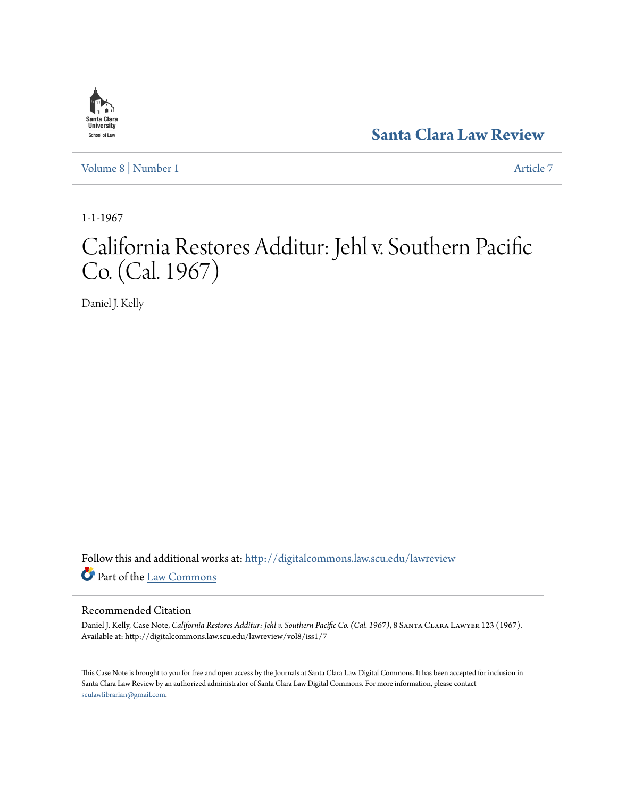# Santa Clara **University** School of Law

**[Santa Clara Law Review](http://digitalcommons.law.scu.edu/lawreview?utm_source=digitalcommons.law.scu.edu%2Flawreview%2Fvol8%2Fiss1%2F7&utm_medium=PDF&utm_campaign=PDFCoverPages)**

[Volume 8](http://digitalcommons.law.scu.edu/lawreview/vol8?utm_source=digitalcommons.law.scu.edu%2Flawreview%2Fvol8%2Fiss1%2F7&utm_medium=PDF&utm_campaign=PDFCoverPages) | [Number 1](http://digitalcommons.law.scu.edu/lawreview/vol8/iss1?utm_source=digitalcommons.law.scu.edu%2Flawreview%2Fvol8%2Fiss1%2F7&utm_medium=PDF&utm_campaign=PDFCoverPages) [Article 7](http://digitalcommons.law.scu.edu/lawreview/vol8/iss1/7?utm_source=digitalcommons.law.scu.edu%2Flawreview%2Fvol8%2Fiss1%2F7&utm_medium=PDF&utm_campaign=PDFCoverPages)

1-1-1967

# California Restores Additur: Jehl v. Southern Pacific Co. (Cal. 1967)

Daniel J. Kelly

Follow this and additional works at: [http://digitalcommons.law.scu.edu/lawreview](http://digitalcommons.law.scu.edu/lawreview?utm_source=digitalcommons.law.scu.edu%2Flawreview%2Fvol8%2Fiss1%2F7&utm_medium=PDF&utm_campaign=PDFCoverPages) Part of the [Law Commons](http://network.bepress.com/hgg/discipline/578?utm_source=digitalcommons.law.scu.edu%2Flawreview%2Fvol8%2Fiss1%2F7&utm_medium=PDF&utm_campaign=PDFCoverPages)

# Recommended Citation

Daniel J. Kelly, Case Note, *California Restores Additur: Jehl v. Southern Pacific Co. (Cal. 1967)*, 8 Santa Clara Lawyer 123 (1967). Available at: http://digitalcommons.law.scu.edu/lawreview/vol8/iss1/7

This Case Note is brought to you for free and open access by the Journals at Santa Clara Law Digital Commons. It has been accepted for inclusion in Santa Clara Law Review by an authorized administrator of Santa Clara Law Digital Commons. For more information, please contact [sculawlibrarian@gmail.com](mailto:sculawlibrarian@gmail.com).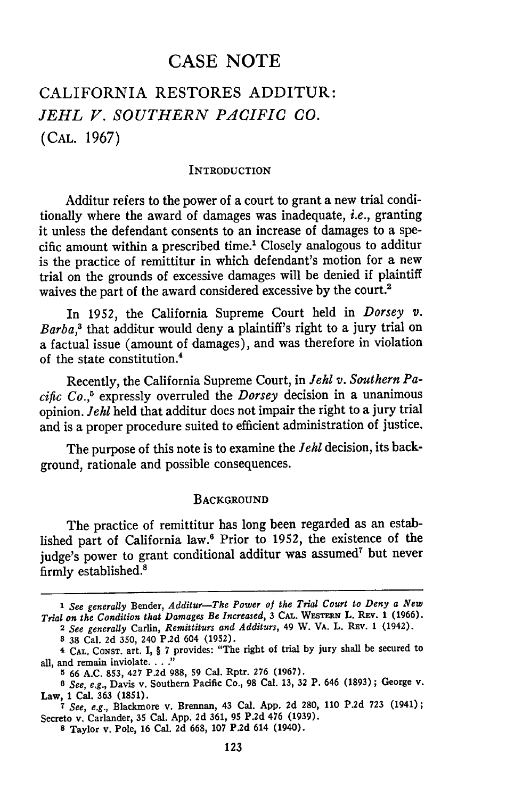# **CASE NOTE**

# CALIFORNIA RESTORES ADDITUR: *JEHL V. SOUTHERN PACIFIC CO.* **(CAL. 1967)**

#### **INTRODUCTION**

Additur refers to the power of a court to grant a new trial conditionally where the award of damages was inadequate, *i.e.,* granting it unless the defendant consents to an increase of damages to a specific amount within a prescribed time.' Closely analogous to additur is the practice of remittitur in which defendant's motion for a new trial on the grounds of excessive damages will be denied if plaintiff waives the part of the award considered excessive **by** the court.2

In **1952,** the California Supreme Court held in *Dorsey v.* Barba,<sup>3</sup> that additur would deny a plaintiff's right to a jury trial on a factual issue (amount of damages), and was therefore in violation of the state constitution.4

Recently, the California Supreme Court, in *lehl v. Southern Pacific Co.,5* expressly overruled the *Dorsey* decision in a unanimous opinion. *Jehl* held that additur does not impair the right to a jury trial and is a proper procedure suited to efficient administration of justice.

The purpose of this note is to examine the *lehl* decision, its background, rationale and possible consequences.

#### **BACKGROUND**

The practice of remittitur has long been regarded as an established part of California law.6 Prior to **1952,** the existence of the judge's power to grant conditional additur was assumed<sup>7</sup> but never firmly established.'

**8 38** Cal. **2d 350,** 240 **P.2d** 604 **(1952).**

*<sup>1</sup> See generally* Bender, *Additur-The Power of the Trial Court to Deny a New Trial on the Condition that Damages Be Increased,* **3 CAL. WESTERN** L. **REv. 1 (1966). 2** *See generally* Carlin, *Remittiturs and Additurs,* 49 W. VA. L. Rav. **1** (1942).

**<sup>4</sup> CAL. CONST.** art. I, **§ 7** provides: "The right of trial **by** jury shall be secured to all, and remain inviolate.. **.. "**

**<sup>5 66</sup> A.C. 853,** 427 **P.2d 988, 59** Cal. Rptr. **276 (1967).**

*<sup>6</sup> See, e.g.,* Davis v. Southern Pacific Co., **98** Cal. **13, 32** P. 646 **(1893) ;** George v. Law, **1** Cal. **363 (1851).**

**<sup>7</sup>** *See, e.g.,* Blackmore v. Brennan, 43 Cal. **App. 2d 280, 110 P.2d 723** (1941); Secreto v. Carlander, **35** Cal. **App. 2d 361, 95 P.2d** 476 **(1939).**

**<sup>8</sup>** Taylor v. Pole, **16** Cal. **2d 668, 107 P.2d** 614 (1940).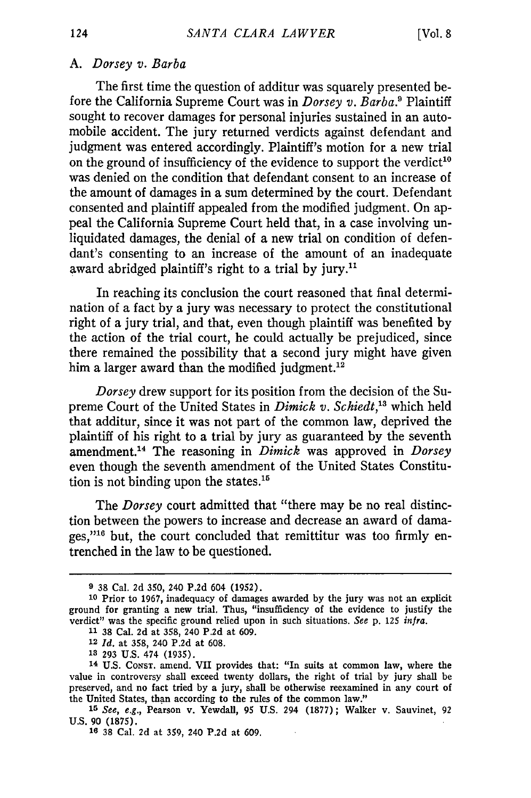## *A. Dorsey v. Barba*

The first time the question of additur was squarely presented before the California Supreme Court was in *Dorsey v. Barba*.<sup>9</sup> Plaintiff sought to recover damages for personal injuries sustained in an automobile accident. The jury returned verdicts against defendant and judgment was entered accordingly. Plaintiff's motion for a new trial on the ground of insufficiency of the evidence to support the verdict<sup>10</sup> was denied on the condition that defendant consent to an increase of the amount of damages in a sum determined by the court. Defendant consented and plaintiff appealed from the modified judgment. On appeal the California Supreme Court held that, in a case involving unliquidated damages, the denial of a new trial on condition of defendant's consenting to an increase of the amount of an inadequate award abridged plaintiff's right to a trial by jury.<sup>11</sup>

In reaching its conclusion the court reasoned that final determination of a fact by a jury was necessary to protect the constitutional right of a jury trial, and that, even though plaintiff was benefited by the action of the trial court, he could actually be prejudiced, since there remained the possibility that a second jury might have given him a larger award than the modified judgment.<sup>12</sup>

*Dorsey* drew support for its position from the decision of the Supreme Court of the United States in *Dimick v. Schiedt*,<sup>13</sup> which held that additur, since it was not part of the common law, deprived the plaintiff of his right to a trial by jury as guaranteed by the seventh amendment.<sup>14</sup> The reasoning in *Dimick* was approved in *Dorsey* even though the seventh amendment of the United States Constitution is not binding upon the states.'

The *Dorsey* court admitted that "there may be no real distinction between the powers to increase and decrease an award of damages," $16$  but, the court concluded that remittitur was too firmly entrenched in the law to be questioned.

**<sup>9</sup>** 38 Cal. 2d 350, 240 P.2d 604 (1952).

**<sup>10</sup>**Prior to 1967, inadequacy of damages awarded by the jury was not an explicit ground for granting a new trial. Thus, "insufficiency of the evidence to justify the verdict" was the specific ground relied upon in such situations. *See* p. 125 *infra.*

**<sup>11</sup>**38 Cal. 2d at 358, 240 P.2d at 609.

<sup>12</sup>*Id.* at 358, 240 P.2d at 608.

**<sup>18</sup>** 293 U.S. 474 (1935).

<sup>14</sup> U.S. **CONST.** amend. VII provides that: "In suits at common law, where the value in controversy shall exceed twenty dollars, the right of trial by jury shall be preserved, and no fact tried by a jury, shall be otherwise reexamined in any court of the United States, than according to the rules of the common law."

*<sup>15</sup> See, e.g.,* Pearson v. Yewdall, 95 U.S. 294 (1877); Walker v. Sauvinet, 92 U.S. 90 (1875).

**<sup>16 38</sup>** Cal. 2d at 359, 240 **P.2d** at 609.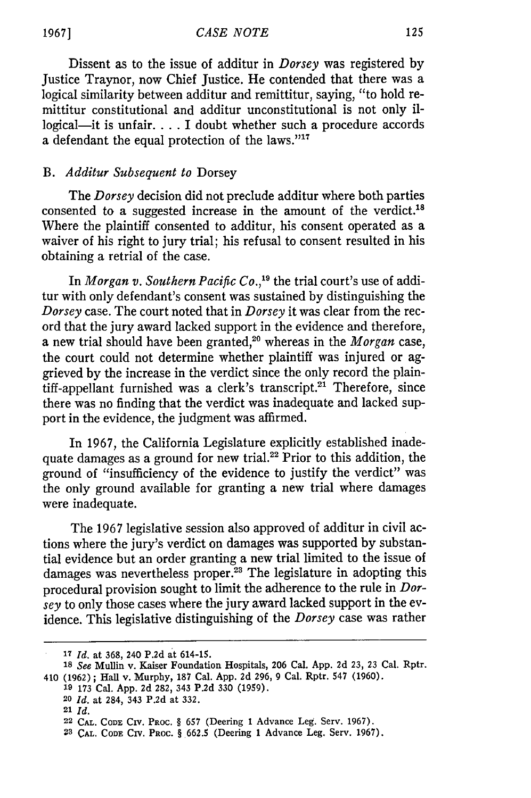Dissent as to the issue of additur in *Dorsey* was registered by Justice Traynor, now Chief Justice. He contended that there was a logical similarity between additur and remittitur, saying, "to hold remittitur constitutional and additur unconstitutional is not only illogical-it is unfair.... I doubt whether such a procedure accords a defendant the equal protection of the laws."<sup>17</sup>

## *B. Additur Subsequent to* Dorsey

The *Dorsey* decision did not preclude additur where both parties consented to a suggested increase in the amount of the verdict.<sup>18</sup> Where the plaintiff consented to additur, his consent operated as a waiver of his right to jury trial; his refusal to consent resulted in his obtaining a retrial of the case.

In *Morgan v. Southern Pacific Co.,'9* the trial court's use of additur with only defendant's consent was sustained by distinguishing the *Dorsey* case. The court noted that in *Dorsey* it was clear from the record that the jury award lacked support in the evidence and therefore, a new trial should have been granted,<sup>20</sup> whereas in the *Morgan* case the court could not determine whether plaintiff was injured or aggrieved by the increase in the verdict since the only record the plain $t$ iff-appellant furnished was a clerk's transcript.<sup>21</sup> Therefore, since there was no finding that the verdict was inadequate and lacked support in the evidence, the judgment was affirmed.

In 1967, the California Legislature explicitly established inadequate damages as a ground for new trial.<sup>22</sup> Prior to this addition, the ground of "insufficiency of the evidence to justify the verdict" was the only ground available for granting a new trial where damages were inadequate.

The 1967 legislative session also approved of additur in civil actions where the jury's verdict on damages was supported by substantial evidence but an order granting a new trial limited to the issue of damages was nevertheless proper.<sup>23</sup> The legislature in adopting this procedural provision sought to limit the adherence to the rule in *Dorsey* to only those cases where the jury award lacked support in the evidence. This legislative distinguishing of the *Dorsey* case was rather

**<sup>17</sup>***Id.* at 368, 240 **P.2d** at 614-15.

*<sup>18</sup> See* Mullin v. Kaiser Foundation Hospitals, **206** Cal. App. 2d **23,** 23 Cal. Rptr. 410 **(1962);** Hall v. Murphy, **187** Cal. **App. 2d 296, 9** Cal. Rptr. 547 **(1960).**

**<sup>19 173</sup>** Cal. **App. 2d 282,** 343 **P.2d 330 (1959).**

**<sup>20</sup>** *Id.* at 284, **343 P.2d** at **332.**

**<sup>21</sup>** *Id.*

**<sup>22</sup> CAL. CODE CIV.** PROC. § **657** (Deering **1** Advance Leg. Serv. **1967).**

**<sup>23</sup>CAL. CODE** CIV. **PROC.** § **662.5** (Deering **1** Advance Leg. Serv. **1967).**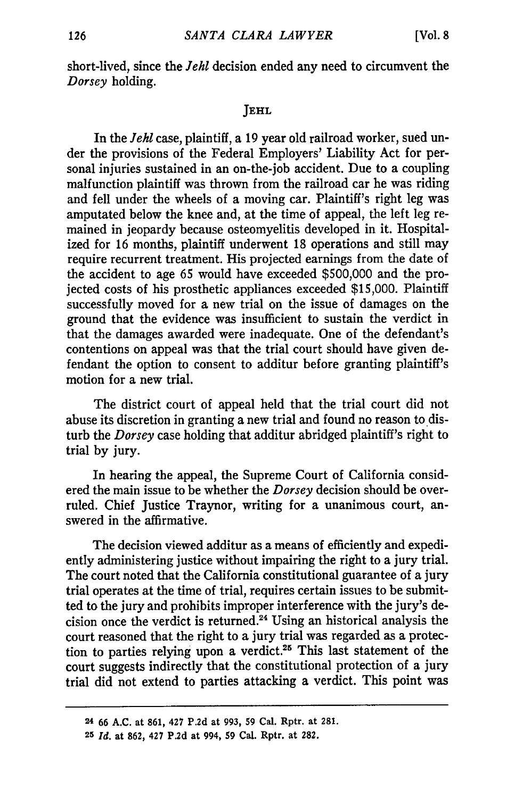short-lived, since the *Jehl* decision ended any need to circumvent the *Dorsey* holding.

## **JEHL**

In the *Jehl* case, plaintiff, a 19 year old railroad worker, sued under the provisions of the Federal Employers' Liability Act for personal injuries sustained in an on-the-job accident. Due to a coupling malfunction plaintiff was thrown from the railroad car he was riding and fell under the wheels of a moving car. Plaintiff's right leg was amputated below the knee and, at the time of appeal, the left leg remained in jeopardy because osteomyelitis developed in it. Hospitalized for 16 months, plaintiff underwent 18 operations and still may require recurrent treatment. His projected earnings from the date of the accident to age 65 would have exceeded \$500,000 and the projected costs of his prosthetic appliances exceeded \$15,000. Plaintiff successfully moved for a new trial on the issue of damages on the ground that the evidence was insufficient to sustain the verdict in that the damages awarded were inadequate. One of the defendant's contentions on appeal was that the trial court should have given defendant the option to consent to additur before granting plaintiff's motion for a new trial.

The district court of appeal held that the trial court did not abuse its discretion in granting a new trial and found no reason to disturb the *Dorsey* case holding that additur abridged plaintiff's right to trial **by** jury.

In hearing the appeal, the Supreme Court of California considered the main issue to be whether the *Dorsey* decision should be overruled. Chief Justice Traynor, writing for a unanimous court, answered in the affirmative.

The decision viewed additur as a means of efficiently and expediently administering justice without impairing the right to a jury trial. The court noted that the California constitutional guarantee of a jury trial operates at the time of trial, requires certain issues to be submitted to the jury and prohibits improper interference with the jury's decision once the verdict is returned.<sup>24</sup> Using an historical analysis the court reasoned that the right to a jury trial was regarded as a protection to parties relying upon a verdict.25 This last statement of the court suggests indirectly that the constitutional protection of a jury trial did not extend to parties attacking a verdict. This point was

*<sup>24</sup>* **66 A.C. at 861, 427 P.2d at 993, 59 Cal. Rptr. at 281.**

**<sup>25</sup>** *Id.* **at 862, 427 P.2d at 994, 59 Cal. Rptr. at 282.**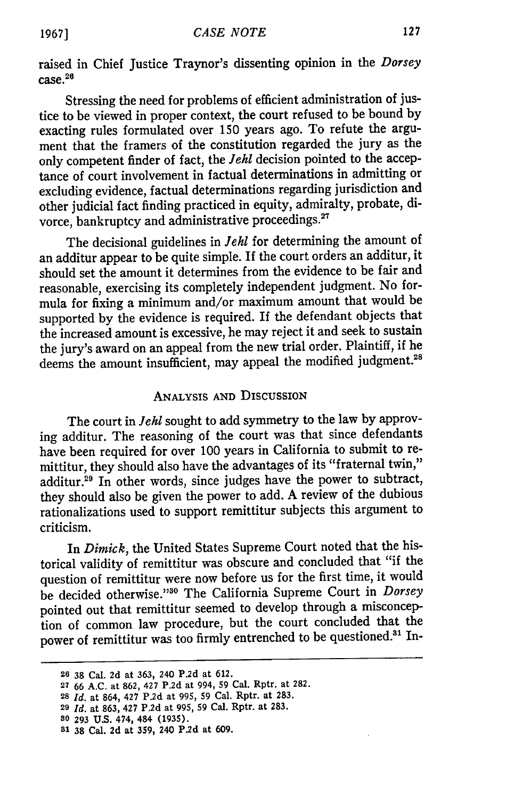raised in Chief Justice Traynor's dissenting opinion in the *Dorsey* case. 26

Stressing the need for problems of efficient administration of justice to be viewed in proper context, the court refused to be bound **by** exacting rules formulated over **150** years ago. To refute the argument that the framers of the constitution regarded the jury as the only competent finder of fact, the *Jehl* decision pointed to the acceptance of court involvement in factual determinations in admitting or excluding evidence, factual determinations regarding jurisdiction and other judicial fact finding practiced in equity, admiralty, probate, divorce, bankruptcy and administrative proceedings.<sup>27</sup>

The decisional guidelines in *Jehl* for determining the amount of an additur appear to be quite simple. If the court orders an additur, it should set the amount it determines from the evidence to be fair and reasonable, exercising its completely independent judgment. No formula for fixing a minimum and/or maximum amount that would be supported **by** the evidence is required. If the defendant objects that the increased amount is excessive, he may reject it and seek to sustain the jury's award on an appeal from the new trial order. Plaintiff, if he deems the amount insufficient, may appeal the modified judgment.<sup>28</sup>

## ANALYSIS **AND** DISCUSSION

The court in *Jehl* sought to add symmetry to the law by approving additur. The reasoning of the court was that since defendants have been required for over 100 years in California to submit to remittitur, they should also have the advantages of its "fraternal twin," additur.29 In other words, since judges have the power to subtract, they should also be given the power to add. A review of the dubious rationalizations used to support remittitur subjects this argument to criticism.

In *Dimick,* the United States Supreme Court noted that the historical validity of remittitur was obscure and concluded that "if the question of remittitur were now before us for the first time, it would be decided otherwise. 30 ° The California Supreme Court in *Dorsey* pointed out that remittitur seemed to develop through a misconception of common law procedure, but the court concluded that the power of remittitur was too firmly entrenched to be questioned.<sup>31</sup> In-

**<sup>29</sup>***Id.* at **863,** 427 **P.2d** at **995, 59** Cal. Rptr. at **283.**

**<sup>26 38</sup>** Cal. **2d** at **363,** 240 **P.2d** at **612.**

**<sup>27 66</sup> A.C.** at **862,** 427 **P.2d** at 994, **59** Cal. Rptr. at **282.**

**<sup>28</sup>***Id.* at 864, 427 **P.2d** at **995, 59** Cal. Rptr. at **283.**

**<sup>80 293</sup> U.S.** 474, 484 **(1935).**

**<sup>31</sup>38** Cal. **2d** at **359,** 240 **P.2d** at **609.**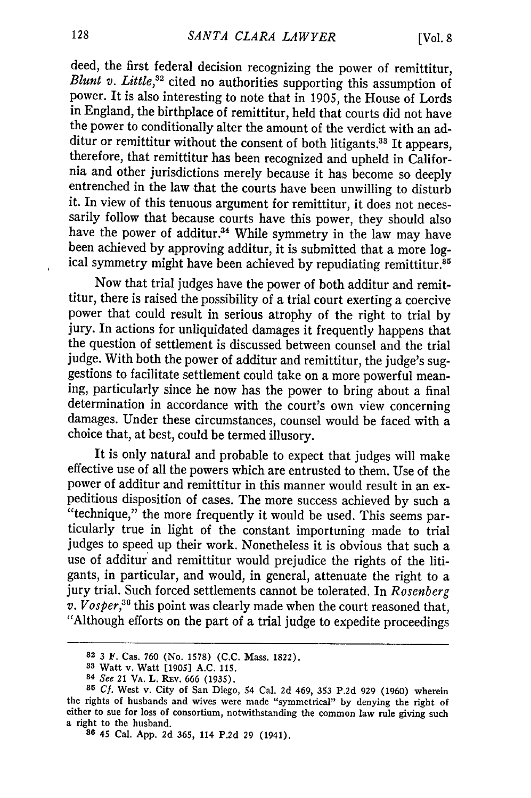deed, the first federal decision recognizing the power of remittitur, *Blunt v. Little*,<sup>32</sup> cited no authorities supporting this assumption of power. It is also interesting to note that in 1905, the House of Lords in England, the birthplace of remittitur, held that courts did not have the power to conditionally alter the amount of the verdict with an additur or remittitur without the consent of both litigants.<sup>33</sup> It appears, therefore, that remittitur has been recognized and upheld in California and other jurisdictions merely because it has become so deeply entrenched in the law that the courts have been unwilling to disturb it. In view of this tenuous argument for remittitur, it does not necessarily follow that because courts have this power, they should also have the power of additur.<sup>34</sup> While symmetry in the law may have been achieved by approving additur, it is submitted that a more log-<br>ical symmetry might have been achieved by repudiating remittitur.<sup>35</sup>

Now that trial judges have the power of both additur and remittitur, there is raised the possibility of a trial court exerting a coercive power that could result in serious atrophy of the right to trial by jury. In actions for unliquidated damages it frequently happens that the question of settlement is discussed between counsel and the trial judge. With both the power of additur and remittitur, the judge's sug- gestions to facilitate settlement could take on a more powerful meaning, particularly since he now has the power to bring about a final determination in accordance with the court's own view concerning damages. Under these circumstances, counsel would be faced with a choice that, at best, could be termed illusory.

It is only natural and probable to expect that judges will make effective use of all the powers which are entrusted to them. Use of the power of additur and remittitur in this manner would result in an expeditious disposition of cases. The more success achieved by such a "technique," the more frequently it would be used. This seems particularly true in light of the constant importuning made to trial judges to speed up their work. Nonetheless it is obvious that such a use of additur and remittitur would prejudice the rights of the litigants, in particular, and would, in general, attenuate the right to a jury trial. Such forced settlements cannot be tolerated. In *Rosenberg v. Vosper*,<sup>36</sup> this point was clearly made when the court reasoned that, "Although efforts on the part of a trial judge to expedite proceedings

**<sup>82</sup>**3 F. Cas. **760** (No. 1578) (C.C. Mass. 1822).

**<sup>33</sup>**Watt v. Watt [1905] A.C. 115.

<sup>84</sup> See 21 VA. L. REv. 666 (1935).

*<sup>35</sup>***Cf.** West v. City of San Diego, 54 Cal. 2d 469, 353 P.2d 929 (1960) wherein the rights of husbands and wives were made "symmetrical" by denying the right of either to sue for loss of consortium, notwithstanding the common law rule giving such a right to the husband. **<sup>86</sup>**45 Cal. App. 2d 365, 114 P.2d 29 (1941).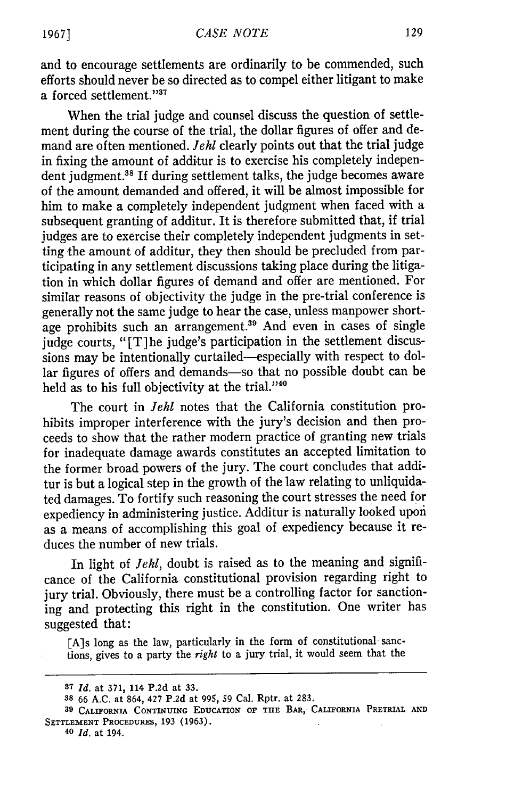and to encourage settlements are ordinarily to be commended, such efforts should never be so directed as to compel either litigant to make a forced settlement."<sup>37</sup>

When the trial judge and counsel discuss the question of settlement during the course of the trial, the dollar figures of offer and demand are often mentioned. *Jehl* clearly points out that the trial judge in fixing the amount of additur is to exercise his completely independent judgment.<sup>38</sup> If during settlement talks, the judge becomes aware of the amount demanded and offered, it will be almost impossible for him to make a completely independent judgment when faced with a subsequent granting of additur. It is therefore submitted that, if trial judges are to exercise their completely independent judgments in setting the amount of additur, they then should be precluded from participating in any settlement discussions taking place during the litigation in which dollar figures of demand and offer are mentioned. For similar reasons of objectivity the judge in the pre-trial conference is generally not the same judge to hear the case, unless manpower shortage prohibits such an arrangement.<sup>39</sup> And even in cases of single judge courts, "[T]he judge's participation in the settlement discussions may be intentionally curtailed-especially with respect to dollar figures of offers and demands-so that no possible doubt can be held as to his full objectivity at the trial."40

The court in *Jehl* notes that the California constitution prohibits improper interference with the jury's decision and then proceeds to show that the rather modern practice of granting new trials for inadequate damage awards constitutes an accepted limitation to the former broad powers of the jury. The court concludes that additur is but a logical step in the growth of the law relating to unliquidated damages. To fortify such reasoning the court stresses the need for expediency in administering justice. Additur is naturally looked upon as a means of accomplishing this goal of expediency because it reduces the number of new trials.

In light of *Jehl*, doubt is raised as to the meaning and significance of the California constitutional provision regarding right to jury trial. Obviously, there must be a controlling factor for sanctioning and protecting this right in the constitution. One writer has suggested that:

[A]s long as the law, particularly in the form of constitutional sanctions, gives to a party the *right* to a jury trial, it would seem that the

**40** *Id.* at 194.

**<sup>37</sup>***Id.* at **371, 114 P.2d** at **33.**

**<sup>38 66</sup> A.C.** at 864, 427 **P.2d** at 995, 59 Cal. Rptr. at 283.

**<sup>39</sup> CALIFORNIA CONTINUING EDUCATION OF THE BAR, CALIFORNIA PRETRIAL AND SETTLEMENT PROCEDURES, 193 (1963).**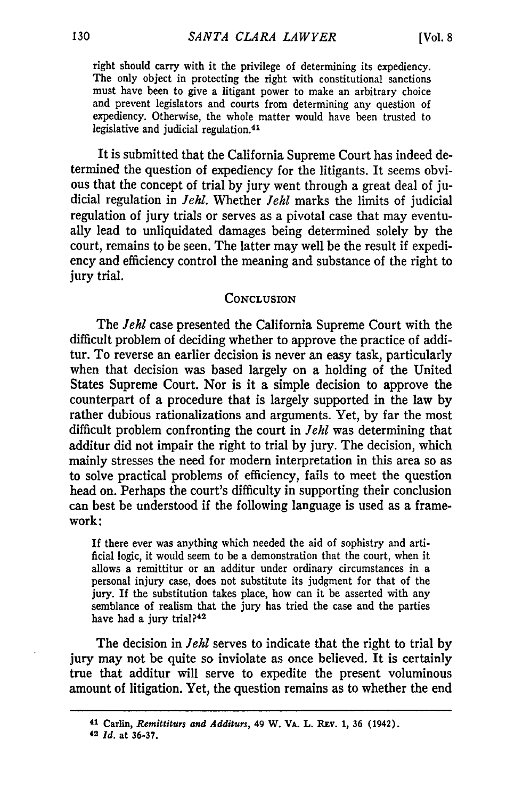right should carry with it the privilege of determining its expediency. The only object in protecting the right with constitutional sanctions must have been to give a litigant power to make an arbitrary choice and prevent legislators and courts from determining any question of expediency. Otherwise, the whole matter would have been trusted to legislative and judicial regulation. <sup>41</sup>

It is submitted that the California Supreme Court has indeed determined the question of expediency for the litigants. It seems obvious that the concept of trial by jury went through a great deal of judicial regulation in *Jehl.* Whether *Jehl* marks the limits of judicial regulation of jury trials or serves as a pivotal case that may eventually lead to unliquidated damages being determined solely by the court, remains to be seen. The latter may well be the result if expediency and efficiency control the meaning and substance of the right to jury trial.

#### **CONCLUSION**

The *Jehl* case presented the California Supreme Court with the difficult problem of deciding whether to approve the practice of additur. To reverse an earlier decision is never an easy task, particularly when that decision was based largely on a holding of the United States Supreme Court. Nor is it a simple decision to approve the counterpart of a procedure that is largely supported in the law by rather dubious rationalizations and arguments. Yet, by far the most difficult problem confronting the court in *Jehl* was determining that additur did not impair the right to trial by jury. The decision, which mainly stresses the need for modem interpretation in this area so as to solve practical problems of efficiency, fails to meet the question head on. Perhaps the court's difficulty in supporting their conclusion can best be understood if the following language is used as a framework:

If there ever was anything which needed the aid of sophistry and artificial logic, it would seem to be a demonstration that the court, when it allows a remittitur or an additur under ordinary circumstances in a personal injury case, does not substitute its judgment for that of the jury. If the substitution takes place, how can it be asserted with any semblance of realism that the jury has tried the case and the parties have had a jury trial?<sup>42</sup>

The decision in *Jehl* serves to indicate that the right to trial by jury may not be quite so inviolate as once believed. It is certainly true that additur will serve to expedite the present voluminous amount of litigation. Yet, the question remains as to whether the end

**<sup>41</sup> Carlin,** *Remittiturs and Additurs,* 49 W. VA. **L. Rxv. 1,** 36 (1942).

**<sup>42</sup>** *Id.* at **36-37.**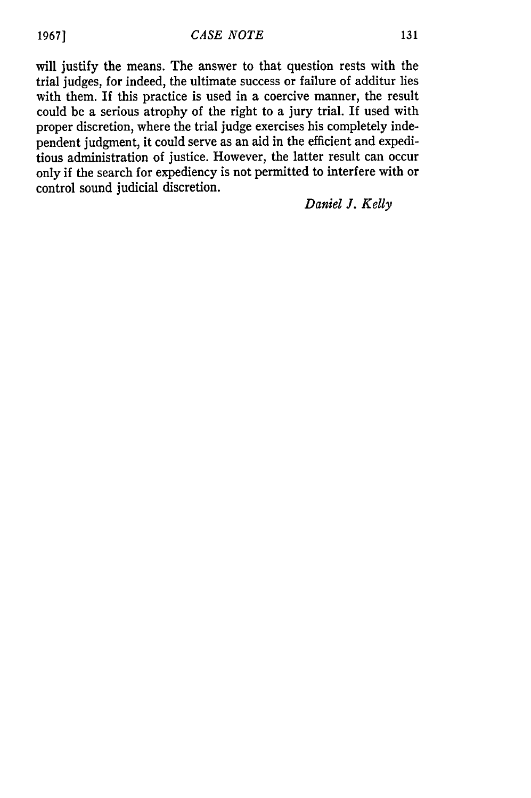will justify the means. The answer to that question rests with the trial judges, for indeed, the ultimate success or failure of additur lies with them. If this practice is used in a coercive manner, the result could be a serious atrophy of the right to a jury trial. If used with proper discretion, where the trial judge exercises his completely independent judgment, it could serve as an aid in the efficient and expeditious administration of justice. However, the latter result can occur only if the search for expediency is not permitted to interfere with or control sound judicial discretion.

*Daniel J. Kelly*